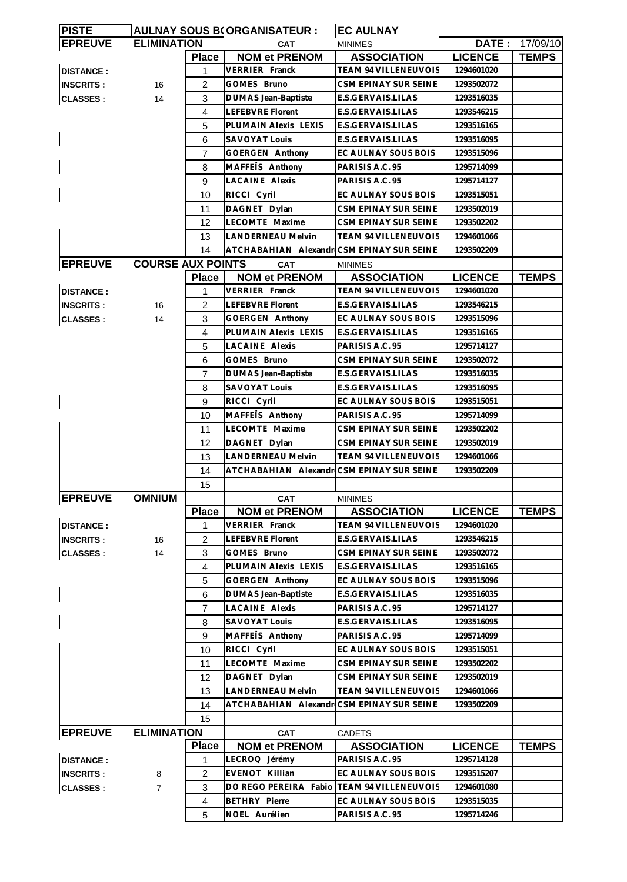| <b>PISTE</b>     |                          |                | <b>AULNAY SOUS B(ORGANISATEUR:</b>        | <b>EC AULNAY</b>            |                |                       |
|------------------|--------------------------|----------------|-------------------------------------------|-----------------------------|----------------|-----------------------|
| <b>EPREUVE</b>   | <b>ELIMINATION</b>       |                | <b>CAT</b>                                | <b>MINIMES</b>              |                | <b>DATE: 17/09/10</b> |
|                  |                          | <b>Place</b>   | <b>NOM et PRENOM</b>                      | <b>ASSOCIATION</b>          | <b>LICENCE</b> | <b>TEMPS</b>          |
| <b>DISTANCE:</b> |                          | 1              | VERRIER Franck                            | <b>TEAM 94 VILLENEUVOIS</b> | 1294601020     |                       |
| <b>INSCRITS:</b> | 16                       | 2              | GOMES Bruno                               | CSM EPINAY SUR SEINE        | 1293502072     |                       |
| <b>CLASSES:</b>  | 14                       | 3              | <b>DUMAS Jean-Baptiste</b>                | E.S.GERVAIS.LILAS           | 1293516035     |                       |
|                  |                          | 4              | LEFEBVRE Florent                          | E.S.GERVAIS.LILAS           | 1293546215     |                       |
|                  |                          | 5              | PLUMAIN Alexis LEXIS                      | E.S.GERVAIS.LILAS           | 1293516165     |                       |
|                  |                          | 6              | <b>SAVOYAT Louis</b>                      | E.S.GERVAIS.LILAS           | 1293516095     |                       |
|                  |                          | 7              | GOERGEN Anthony                           | EC AULNAY SOUS BOIS         | 1293515096     |                       |
|                  |                          | 8              | MAFFETS Anthony                           | PARISIS A.C. 95             | 1295714099     |                       |
|                  |                          | 9              | <b>LACAINE Alexis</b>                     | PARISIS A.C. 95             | 1295714127     |                       |
|                  |                          | 10             | RICCI Cyril                               | EC AULNAY SOUS BOIS         | 1293515051     |                       |
|                  |                          | 11             | DAGNET Dylan                              | CSM EPINAY SUR SEINE        | 1293502019     |                       |
|                  |                          |                | LECOMTE Maxime                            |                             |                |                       |
|                  |                          | 12             |                                           | CSM EPINAY SUR SEINE        | 1293502202     |                       |
|                  |                          | 13             | <b>LANDERNEAU Melvin</b>                  | TEAM 94 VILLENEUVOIS        | 1294601066     |                       |
|                  |                          | 14             | ATCHABAHIAN Alexandr CSM EPINAY SUR SEINE |                             | 1293502209     |                       |
| <b>EPREUVE</b>   | <b>COURSE AUX POINTS</b> |                | <b>CAT</b>                                | <b>MINIMES</b>              |                |                       |
|                  |                          | <b>Place</b>   | <b>NOM et PRENOM</b>                      | <b>ASSOCIATION</b>          | <b>LICENCE</b> | <b>TEMPS</b>          |
| <b>DISTANCE:</b> |                          | 1              | VERRIER Franck                            | TEAM 94 VILLENEUVOIS        | 1294601020     |                       |
| <b>INSCRITS:</b> | 16                       | 2              | LEFEBVRE Florent                          | E.S.GERVAIS.LILAS           | 1293546215     |                       |
| <b>CLASSES:</b>  | 14                       | 3              | <b>GOERGEN Anthony</b>                    | EC AULNAY SOUS BOIS         | 1293515096     |                       |
|                  |                          | $\overline{4}$ | PLUMAIN Alexis LEXIS                      | E.S.GERVAIS.LILAS           | 1293516165     |                       |
|                  |                          | 5              | <b>LACAINE Alexis</b>                     | PARISIS A.C. 95             | 1295714127     |                       |
|                  |                          | 6              | GOMES Bruno                               | CSM EPINAY SUR SEINE        | 1293502072     |                       |
|                  |                          | 7              | <b>DUMAS Jean-Baptiste</b>                | E.S.GERVAIS.LILAS           | 1293516035     |                       |
|                  |                          | 8              | SAVOYAT Louis                             | E.S.GERVAIS.LILAS           | 1293516095     |                       |
|                  |                          | 9              | RICCI Cyril                               | EC AULNAY SOUS BOIS         | 1293515051     |                       |
|                  |                          | 10             | MAFFETS Anthony                           | PARISIS A.C. 95             | 1295714099     |                       |
|                  |                          | 11             | LECOMTE Maxime                            | CSM EPINAY SUR SEINE        | 1293502202     |                       |
|                  |                          | 12             | DAGNET Dylan                              | CSM EPINAY SUR SEINE        | 1293502019     |                       |
|                  |                          | 13             | <b>LANDERNEAU Melvin</b>                  | TEAM 94 VILLENEUVOIS        | 1294601066     |                       |
|                  |                          | 14             | ATCHABAHIAN Alexandr                      | CSM EPINAY SUR SEINE        | 1293502209     |                       |
|                  |                          | 15             |                                           |                             |                |                       |
| <b>EPREUVE</b>   | <b>OMNIUM</b>            |                | <b>CAT</b>                                | MINIMES                     |                |                       |
|                  |                          | <b>Place</b>   | <b>NOM et PRENOM</b>                      | <b>ASSOCIATION</b>          | <b>LICENCE</b> | <b>TEMPS</b>          |
| <b>DISTANCE:</b> |                          | 1              | <b>VERRIER Franck</b>                     | TEAM 94 VILLENEUVOIS        | 1294601020     |                       |
| <b>INSCRITS:</b> | 16                       | $\overline{c}$ | LEFEBVRE Florent                          | E.S.GERVAIS.LILAS           | 1293546215     |                       |
|                  | 14                       | 3              | GOMES Bruno                               | CSM EPINAY SUR SEINE        | 1293502072     |                       |
| <b>CLASSES:</b>  |                          |                |                                           | E.S.GERVAIS.LILAS           |                |                       |
|                  |                          | $\overline{4}$ | PLUMAIN Alexis LEXIS                      |                             | 1293516165     |                       |
|                  |                          | 5              | GOERGEN Anthony                           | EC AULNAY SOUS BOIS         | 1293515096     |                       |
|                  |                          | 6              | DUMAS Jean-Baptiste                       | E.S.GERVAIS.LILAS           | 1293516035     |                       |
|                  |                          | $\overline{7}$ | LACAINE Alexis                            | PARISIS A.C. 95             | 1295714127     |                       |
|                  |                          | 8              | <b>SAVOYAT Louis</b>                      | E.S.GERVAIS.LILAS           | 1293516095     |                       |
|                  |                          | 9              | MAFFETS Anthony                           | PARISIS A.C. 95             | 1295714099     |                       |
|                  |                          | 10             | RICCI Cyril                               | EC AULNAY SOUS BOIS         | 1293515051     |                       |
|                  |                          | 11             | LECOMTE Maxime                            | CSM EPINAY SUR SEINE        | 1293502202     |                       |
|                  |                          | 12             | DAGNET Dylan                              | CSM EPINAY SUR SEINE        | 1293502019     |                       |
|                  |                          | 13             | LANDERNEAU Melvin                         | TEAM 94 VILLENEUVOIS        | 1294601066     |                       |
|                  |                          | 14             | ATCHABAHIAN Alexandr                      | CSM EPINAY SUR SEINE        | 1293502209     |                       |
|                  |                          | 15             |                                           |                             |                |                       |
| <b>EPREUVE</b>   | <b>ELIMINATION</b>       |                | <b>CAT</b>                                | <b>CADETS</b>               |                |                       |
|                  |                          | <b>Place</b>   | <b>NOM et PRENOM</b>                      | <b>ASSOCIATION</b>          | <b>LICENCE</b> | <b>TEMPS</b>          |
| <b>DISTANCE:</b> |                          | 1              | LECROQ Jérémy                             | PARISIS A.C. 95             | 1295714128     |                       |
| <b>INSCRITS:</b> | 8                        | 2              | EVENOT Killian                            | EC AULNAY SOUS BOIS         | 1293515207     |                       |
| <b>CLASSES:</b>  | $\overline{7}$           | 3              | DO REGO PEREIRA Fabio                     | <b>TEAM 94 VILLENEUVOIS</b> | 1294601080     |                       |
|                  |                          | 4              | <b>BETHRY Pierre</b>                      | EC AULNAY SOUS BOIS         | 1293515035     |                       |
|                  |                          | 5              | NOEL Aurélien                             | PARISIS A.C. 95             | 1295714246     |                       |
|                  |                          |                |                                           |                             |                |                       |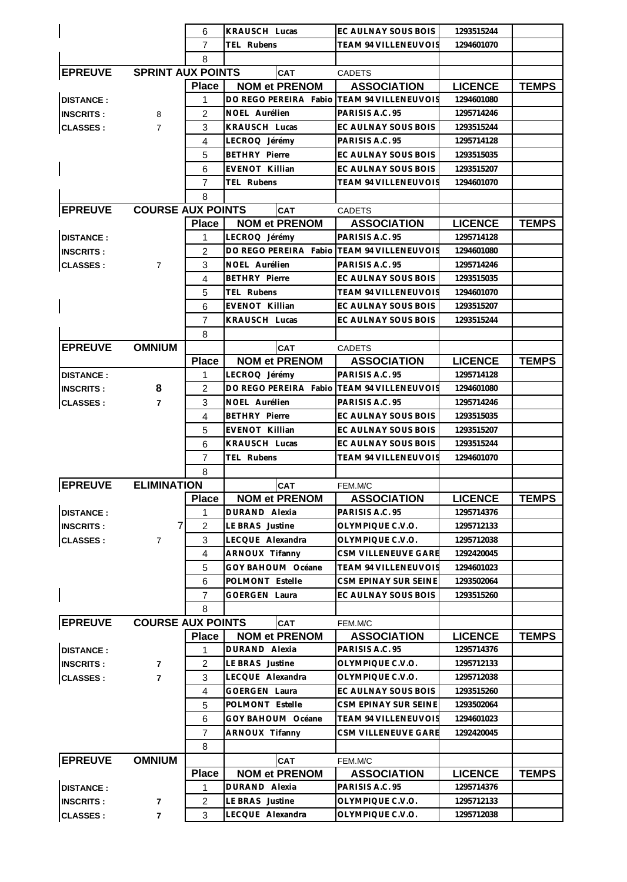|                            |                          | 6              | KRAUSCH Lucas                                               | EC AULNAY SOUS BOIS         | 1293515244     |              |
|----------------------------|--------------------------|----------------|-------------------------------------------------------------|-----------------------------|----------------|--------------|
|                            |                          | 7              | TEL Rubens                                                  | <b>TEAM 94 VILLENEUVOIS</b> | 1294601070     |              |
|                            |                          | 8              |                                                             |                             |                |              |
| <b>EPREUVE</b>             | <b>SPRINT AUX POINTS</b> |                | <b>CAT</b>                                                  | <b>CADETS</b>               |                |              |
|                            |                          | <b>Place</b>   | <b>NOM et PRENOM</b>                                        | <b>ASSOCIATION</b>          | <b>LICENCE</b> | <b>TEMPS</b> |
| <b>DISTANCE:</b>           |                          | 1              | DO REGO PEREIRA Fabio                                       | <b>TEAM 94 VILLENEUVOIS</b> | 1294601080     |              |
| <b>INSCRITS:</b>           | 8                        | 2              | NOEL Aurélien                                               | PARISIS A.C. 95             | 1295714246     |              |
|                            |                          | 3              | KRAUSCH Lucas                                               | EC AULNAY SOUS BOIS         |                |              |
| <b>CLASSES:</b>            | $\overline{7}$           |                |                                                             |                             | 1293515244     |              |
|                            |                          | $\overline{4}$ | LECROQ Jérémy                                               | PARISIS A.C. 95             | 1295714128     |              |
|                            |                          | 5              | <b>BETHRY Pierre</b>                                        | EC AULNAY SOUS BOIS         | 1293515035     |              |
|                            |                          | 6              | EVENOT Killian                                              | EC AULNAY SOUS BOIS         | 1293515207     |              |
|                            |                          | $\overline{7}$ | TEL Rubens                                                  | TEAM 94 VILLENEUVOIS        | 1294601070     |              |
|                            |                          | 8              |                                                             |                             |                |              |
| <b>EPREUVE</b>             | <b>COURSE AUX POINTS</b> |                | <b>CAT</b>                                                  | <b>CADETS</b>               |                |              |
|                            |                          | <b>Place</b>   | <b>NOM et PRENOM</b>                                        | <b>ASSOCIATION</b>          | <b>LICENCE</b> | <b>TEMPS</b> |
| <b>DISTANCE:</b>           |                          | 1.             | LECROQ Jérémy                                               | PARISIS A.C. 95             | 1295714128     |              |
| <b>INSCRITS:</b>           |                          | 2              | DO REGO PEREIRA Fabio                                       | TEAM 94 VILLENEUVOIS        | 1294601080     |              |
| <b>CLASSES:</b>            | $\overline{7}$           | 3              | NOEL Aurélien                                               | PARISIS A.C. 95             | 1295714246     |              |
|                            |                          | $\overline{4}$ | <b>BETHRY Pierre</b>                                        | EC AULNAY SOUS BOIS         | 1293515035     |              |
|                            |                          | 5              | TEL Rubens                                                  | TEAM 94 VILLENEUVOIS        | 1294601070     |              |
|                            |                          | 6              | EVENOT Killian                                              | EC AULNAY SOUS BOIS         | 1293515207     |              |
|                            |                          | $\overline{7}$ | KRAUSCH Lucas                                               | EC AULNAY SOUS BOIS         | 1293515244     |              |
|                            |                          | 8              |                                                             |                             |                |              |
| <b>EPREUVE</b>             | <b>OMNIUM</b>            |                | CAT                                                         | <b>CADETS</b>               |                |              |
|                            |                          | <b>Place</b>   | <b>NOM et PRENOM</b>                                        | <b>ASSOCIATION</b>          | <b>LICENCE</b> | <b>TEMPS</b> |
|                            |                          | 1              |                                                             | PARISIS A.C. 95             | 1295714128     |              |
| <b>DISTANCE:</b>           |                          |                | LECROQ Jérémy<br>DO REGO PEREIRA Fabio TEAM 94 VILLENEUVOIS |                             |                |              |
| <b>INSCRITS:</b>           | 8                        | 2              |                                                             |                             | 1294601080     |              |
| <b>CLASSES:</b>            | $\overline{7}$           | 3              | NOEL Aurélien                                               | PARISIS A.C. 95             | 1295714246     |              |
|                            |                          | $\overline{4}$ | <b>BETHRY Pierre</b>                                        | EC AULNAY SOUS BOIS         | 1293515035     |              |
|                            |                          | 5              | EVENOT Killian                                              | EC AULNAY SOUS BOIS         | 1293515207     |              |
|                            |                          | 6              | KRAUSCH Lucas                                               | EC AULNAY SOUS BOIS         | 1293515244     |              |
|                            |                          | $\overline{7}$ | TEL Rubens                                                  | <b>TEAM 94 VILLENEUVOIS</b> | 1294601070     |              |
|                            |                          | 8              |                                                             |                             |                |              |
| <b>EPREUVE ELIMINATION</b> |                          |                | <b>CAT</b>                                                  | FEM.M/C                     |                |              |
|                            |                          | <b>Place</b>   | <b>NOM et PRENOM</b>                                        | <b>ASSOCIATION</b>          | <b>LICENCE</b> | TEMPS        |
| <b>DISTANCE:</b>           |                          | 1              | DURAND Alexia                                               | PARISIS A.C. 95             | 1295714376     |              |
| <b>INSCRITS:</b>           | $\overline{7}$           | $\overline{c}$ | LE BRAS Justine                                             | OLYMPIQUE C.V.O.            | 1295712133     |              |
| <b>CLASSES:</b>            | 7                        | 3              | LECQUE Alexandra                                            | OLYMPIQUE C.V.O.            | 1295712038     |              |
|                            |                          | 4              | ARNOUX Tifanny                                              | CSM VILLENEUVE GARE         | 1292420045     |              |
|                            |                          | 5              | GOY BAHOUM Océane                                           | <b>TEAM 94 VILLENEUVOIS</b> | 1294601023     |              |
|                            |                          | 6              | POLMONT Estelle                                             | CSM EPINAY SUR SEINE        | 1293502064     |              |
|                            |                          | 7              | GOERGEN Laura                                               | EC AULNAY SOUS BOIS         | 1293515260     |              |
|                            |                          | 8              |                                                             |                             |                |              |
| <b>EPREUVE</b>             | <b>COURSE AUX POINTS</b> |                | <b>CAT</b>                                                  | FEM.M/C                     |                |              |
|                            |                          | <b>Place</b>   | <b>NOM et PRENOM</b>                                        | <b>ASSOCIATION</b>          | <b>LICENCE</b> | <b>TEMPS</b> |
| <b>DISTANCE:</b>           |                          | 1              | DURAND Alexia                                               | PARISIS A.C. 95             | 1295714376     |              |
| <b>INSCRITS:</b>           | $\overline{7}$           | $\overline{c}$ | LE BRAS Justine                                             | OLYMPIQUE C.V.O.            | 1295712133     |              |
| <b>CLASSES:</b>            | $\overline{7}$           | 3              | LECQUE Alexandra                                            | OLYMPIQUE C.V.O.            | 1295712038     |              |
|                            |                          | 4              | <b>GOERGEN Laura</b>                                        | EC AULNAY SOUS BOIS         | 1293515260     |              |
|                            |                          |                |                                                             |                             |                |              |
|                            |                          | 5              | POLMONT Estelle                                             | CSM EPINAY SUR SEINE        | 1293502064     |              |
|                            |                          | 6              | GOY BAHOUM Océane                                           | <b>TEAM 94 VILLENEUVOIS</b> | 1294601023     |              |
|                            |                          | $\overline{7}$ | ARNOUX Tifanny                                              | CSM VILLENEUVE GARE         | 1292420045     |              |
|                            |                          | 8              |                                                             |                             |                |              |
| <b>EPREUVE</b>             | <b>OMNIUM</b>            |                | <b>CAT</b>                                                  | FEM.M/C                     |                |              |
|                            |                          | <b>Place</b>   | <b>NOM et PRENOM</b>                                        | <b>ASSOCIATION</b>          | <b>LICENCE</b> | <b>TEMPS</b> |
| <b>DISTANCE:</b>           |                          | 1              | DURAND Alexia                                               | PARISIS A.C. 95             | 1295714376     |              |
| <b>INSCRITS:</b>           | 7                        | $\overline{c}$ | LE BRAS Justine                                             | OLYMPIQUE C.V.O.            | 1295712133     |              |
| <b>CLASSES:</b>            | 7                        | 3              | LECQUE Alexandra                                            | OLYMPIQUE C.V.O.            | 1295712038     |              |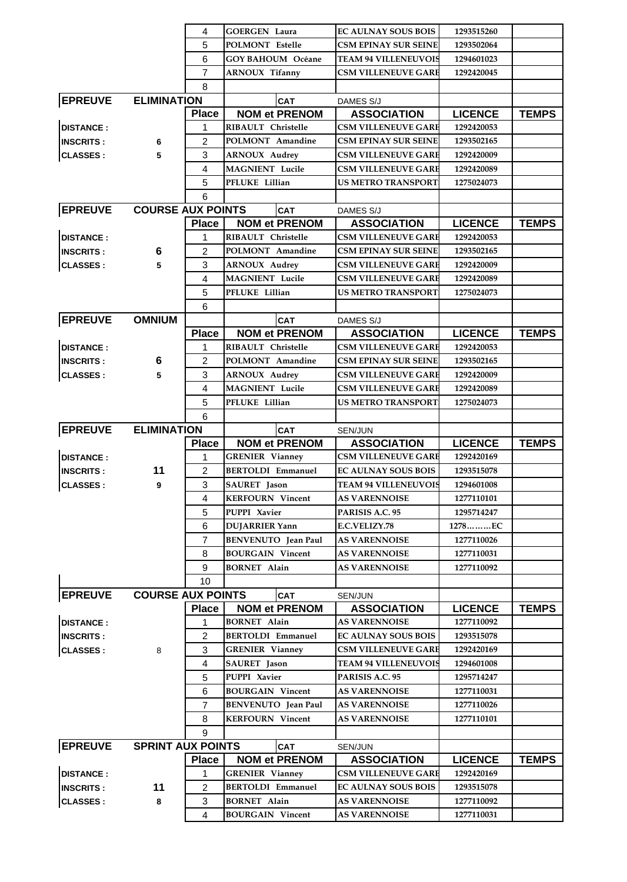|                            |                          | 4              | <b>GOERGEN Laura</b>                           | <b>EC AULNAY SOUS BOIS</b>                   | 1293515260               |              |
|----------------------------|--------------------------|----------------|------------------------------------------------|----------------------------------------------|--------------------------|--------------|
|                            |                          | 5              | <b>POLMONT Estelle</b>                         | <b>CSM EPINAY SUR SEINE</b>                  | 1293502064               |              |
|                            |                          | 6              | <b>GOY BAHOUM Océane</b>                       | <b>TEAM 94 VILLENEUVOIS</b>                  | 1294601023               |              |
|                            |                          | $\overline{7}$ | <b>ARNOUX Tifanny</b>                          | <b>CSM VILLENEUVE GARE</b>                   | 1292420045               |              |
|                            |                          | 8              |                                                |                                              |                          |              |
| <b>EPREUVE ELIMINATION</b> |                          |                | <b>CAT</b>                                     | DAMES S/J                                    |                          |              |
|                            |                          | <b>Place</b>   | <b>NOM et PRENOM</b>                           | <b>ASSOCIATION</b>                           | <b>LICENCE</b>           | <b>TEMPS</b> |
| <b>DISTANCE:</b>           |                          | 1              | RIBAULT Christelle                             | <b>CSM VILLENEUVE GARE</b>                   | 1292420053               |              |
| <b>INSCRITS:</b>           | 6                        | 2              | POLMONT Amandine                               | <b>CSM EPINAY SUR SEINE</b>                  | 1293502165               |              |
| <b>CLASSES:</b>            | 5                        | 3              | <b>ARNOUX Audrey</b>                           | <b>CSM VILLENEUVE GARE</b>                   | 1292420009               |              |
|                            |                          | 4              | <b>MAGNIENT</b> Lucile                         | <b>CSM VILLENEUVE GARE</b>                   | 1292420089               |              |
|                            |                          | 5              | PFLUKE Lillian                                 | <b>US METRO TRANSPORT</b>                    | 1275024073               |              |
|                            |                          | 6              |                                                |                                              |                          |              |
| <b>EPREUVE</b>             | <b>COURSE AUX POINTS</b> |                | <b>CAT</b>                                     | DAMES S/J                                    |                          |              |
|                            |                          | <b>Place</b>   | <b>NOM et PRENOM</b>                           | <b>ASSOCIATION</b>                           | <b>LICENCE</b>           | <b>TEMPS</b> |
| <b>DISTANCE:</b>           |                          | 1              | RIBAULT Christelle                             | <b>CSM VILLENEUVE GARE</b>                   | 1292420053               |              |
| <b>INSCRITS:</b>           | 6                        | 2              | POLMONT Amandine                               | <b>CSM EPINAY SUR SEINE</b>                  | 1293502165               |              |
| <b>CLASSES:</b>            | 5                        | 3              | <b>ARNOUX Audrey</b>                           | <b>CSM VILLENEUVE GARE</b>                   | 1292420009               |              |
|                            |                          | 4              | <b>MAGNIENT</b> Lucile                         | <b>CSM VILLENEUVE GARE</b>                   | 1292420089               |              |
|                            |                          | 5              | PFLUKE Lillian                                 | <b>US METRO TRANSPORT</b>                    | 1275024073               |              |
|                            |                          | 6              |                                                |                                              |                          |              |
| <b>EPREUVE</b>             | <b>OMNIUM</b>            |                | <b>CAT</b>                                     | DAMES S/J                                    |                          |              |
|                            |                          | <b>Place</b>   | <b>NOM et PRENOM</b>                           | <b>ASSOCIATION</b>                           | <b>LICENCE</b>           | <b>TEMPS</b> |
| <b>DISTANCE:</b>           |                          | 1              | RIBAULT Christelle                             | <b>CSM VILLENEUVE GARE</b>                   | 1292420053               |              |
| <b>INSCRITS:</b>           | 6                        | $\overline{2}$ | POLMONT Amandine                               | <b>CSM EPINAY SUR SEINE</b>                  | 1293502165               |              |
| <b>CLASSES:</b>            | 5                        | 3              | <b>ARNOUX Audrey</b>                           | <b>CSM VILLENEUVE GARE</b>                   | 1292420009               |              |
|                            |                          | 4              | <b>MAGNIENT</b> Lucile                         | <b>CSM VILLENEUVE GARE</b>                   | 1292420089               |              |
|                            |                          | 5              | PFLUKE Lillian                                 | <b>US METRO TRANSPORT</b>                    | 1275024073               |              |
|                            |                          | 6              |                                                |                                              |                          |              |
| <b>EPREUVE</b>             | <b>ELIMINATION</b>       |                | <b>CAT</b>                                     | SEN/JUN                                      |                          |              |
|                            |                          | <b>Place</b>   | <b>NOM et PRENOM</b>                           | <b>ASSOCIATION</b>                           | <b>LICENCE</b>           | <b>TEMPS</b> |
| <b>DISTANCE:</b>           |                          | 1              | <b>GRENIER Vianney</b>                         | <b>CSM VILLENEUVE GARE</b>                   | 1292420169               |              |
| <b>INSCRITS:</b>           | 11                       | $\overline{2}$ | <b>BERTOLDI Emmanuel</b>                       | <b>EC AULNAY SOUS BOIS</b>                   | 1293515078               |              |
| <b>CLASSES:</b>            | 9                        | 3              | SAURET Jason                                   | <b>TEAM 94 VILLENEUVOIS</b>                  | 1294601008               |              |
|                            |                          | 4              | <b>KERFOURN</b> Vincent                        | <b>AS VARENNOISE</b>                         | 1277110101               |              |
|                            |                          | 5              | PUPPI Xavier                                   | PARISIS A.C. 95                              | 1295714247               |              |
|                            |                          | 6              | <b>DUJARRIER Yann</b>                          | <b>E.C.VELIZY.78</b>                         | 1278EC                   |              |
|                            |                          | 7              | <b>BENVENUTO</b> Jean Paul                     | <b>AS VARENNOISE</b>                         | 1277110026               |              |
|                            |                          | 8              | <b>BOURGAIN Vincent</b>                        | <b>AS VARENNOISE</b>                         | 1277110031               |              |
|                            |                          | 9              | <b>BORNET Alain</b>                            | <b>AS VARENNOISE</b>                         | 1277110092               |              |
|                            |                          | 10             |                                                |                                              |                          |              |
| <b>EPREUVE</b>             | <b>COURSE AUX POINTS</b> |                | CAT                                            | SEN/JUN                                      |                          |              |
|                            |                          | <b>Place</b>   | <b>NOM et PRENOM</b>                           | <b>ASSOCIATION</b>                           | <b>LICENCE</b>           | <b>TEMPS</b> |
| <b>DISTANCE:</b>           |                          | 1              | <b>BORNET Alain</b>                            | <b>AS VARENNOISE</b>                         | 1277110092               |              |
| <b>INSCRITS:</b>           |                          | 2              | <b>BERTOLDI Emmanuel</b>                       | <b>EC AULNAY SOUS BOIS</b>                   | 1293515078               |              |
| <b>CLASSES:</b>            | 8                        | 3              | <b>GRENIER Vianney</b>                         | <b>CSM VILLENEUVE GARE</b>                   | 1292420169               |              |
|                            |                          | $\overline{4}$ | SAURET Jason                                   | <b>TEAM 94 VILLENEUVOIS</b>                  | 1294601008               |              |
|                            |                          | 5              | PUPPI Xavier                                   | PARISIS A.C. 95                              | 1295714247               |              |
|                            |                          | 6              | <b>BOURGAIN Vincent</b>                        | <b>AS VARENNOISE</b>                         | 1277110031               |              |
|                            |                          | $\overline{7}$ | <b>BENVENUTO</b> Jean Paul                     | <b>AS VARENNOISE</b>                         | 1277110026               |              |
|                            |                          | 8              | <b>KERFOURN Vincent</b>                        | <b>AS VARENNOISE</b>                         | 1277110101               |              |
|                            |                          | 9              |                                                |                                              |                          |              |
| <b>EPREUVE</b>             | <b>SPRINT AUX POINTS</b> |                |                                                |                                              |                          |              |
|                            |                          |                | <b>CAT</b><br><b>NOM et PRENOM</b>             | SEN/JUN                                      |                          |              |
|                            |                          |                |                                                | <b>ASSOCIATION</b>                           | <b>LICENCE</b>           | <b>TEMPS</b> |
|                            |                          | <b>Place</b>   |                                                |                                              |                          |              |
| <b>DISTANCE:</b>           |                          | 1              | <b>GRENIER Vianney</b>                         | <b>CSM VILLENEUVE GARE</b>                   | 1292420169               |              |
| <b>INSCRITS:</b>           | 11                       | $\overline{2}$ | <b>BERTOLDI Emmanuel</b>                       | <b>EC AULNAY SOUS BOIS</b>                   | 1293515078               |              |
| <b>CLASSES:</b>            | 8                        | 3<br>4         | <b>BORNET Alain</b><br><b>BOURGAIN Vincent</b> | <b>AS VARENNOISE</b><br><b>AS VARENNOISE</b> | 1277110092<br>1277110031 |              |